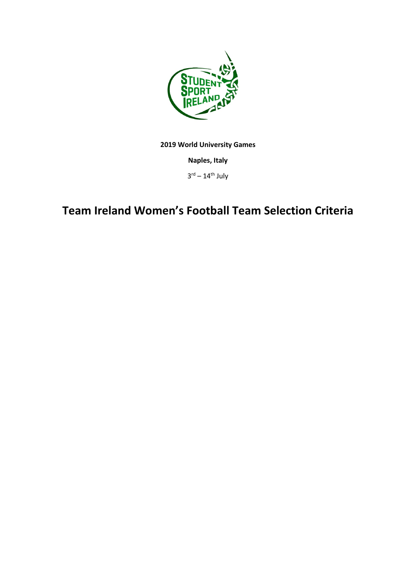

**2019 World University Games**

**Naples, Italy** 

 $3^{\text{rd}} - 14^{\text{th}}$  July

## **Team Ireland Women's Football Team Selection Criteria**